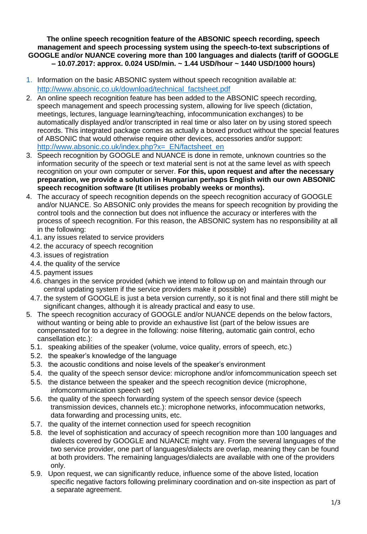#### **The online speech recognition feature of the ABSONIC speech recording, speech management and speech processing system using the speech-to-text subscriptions of GOOGLE and/or NUANCE covering more than 100 languages and dialects (tariff of GOOGLE – 10.07.2017: approx. 0.024 USD/min. ~ 1.44 USD/hour ~ 1440 USD/1000 hours)**

- 1. Information on the basic ABSONIC system without speech recognition available at: [http://www.absonic.co.uk/download/technical\\_factsheet.pdf](http://www.absonic.co.uk/download/technical_factsheet.pdf)
- 2. An online speech recognition feature has been added to the ABSONIC speech recording, speech management and speech processing system, allowing for live speech (dictation, meetings, lectures, language learning/teaching, infocommunication exchanges) to be automatically displayed and/or transcripted in real time or also later on by using stored speech records. This integrated package comes as actually a boxed product without the special features of ABSONIC that would otherwise require other devices, accessories and/or support: http://www.absonic.co.uk/index.php?x=\_EN/factsheet\_en
- 3. Speech recognition by GOOGLE and NUANCE is done in remote, unknown countries so the information security of the speech or text material sent is not at the same level as with speech recognition on your own computer or server. **For this, upon request and after the necessary preparation, we provide a solution in Hungarian perhaps English with our own ABSONIC speech recognition software (It utilises probably weeks or months).**
- 4. The accuracy of speech recognition depends on the speech recognition accuracy of GOOGLE and/or NUANCE. So ABSONIC only provides the means for speech recognition by providing the control tools and the connection but does not influence the accuracy or interferes with the process of speech recognition. For this reason, the ABSONIC system has no responsibility at all in the following:
	- 4.1. any issues related to service providers
	- 4.2. the accuracy of speech recognition
	- 4.3. issues of registration
	- 4.4. the quality of the service
	- 4.5. payment issues
	- 4.6. changes in the service provided (which we intend to follow up on and maintain through our central updating system if the service providers make it possible)
	- 4.7. the system of GOOGLE is just a beta version currently, so it is not final and there still might be significant changes, although it is already practical and easy to use.
- 5. The speech recognition accuracy of GOOGLE and/or NUANCE depends on the below factors, without wanting or being able to provide an exhaustive list (part of the below issues are compensated for to a degree in the following: noise filtering, automatic gain control, echo cansellation etc.):
	- 5.1. speaking abilities of the speaker (volume, voice quality, errors of speech, etc.)
	- 5.2. the speaker's knowledge of the language
	- 5.3. the acoustic conditions and noise levels of the speaker's environment
	- 5.4. the quality of the speech sensor device: microphone and/or infomcommunication speech set
	- 5.5. the distance between the speaker and the speech recognition device (microphone, infomcommunication speech set)
	- 5.6. the quality of the speech forwarding system of the speech sensor device (speech transmission devices, channels etc.): microphone networks, infocommucation networks, data forwarding and processing units, etc.
	- 5.7. the quality of the internet connection used for speech recognition
	- 5.8. the level of sophistication and accuracy of speech recognition more than 100 languages and dialects covered by GOOGLE and NUANCE might vary. From the several languages of the two service provider, one part of languages/dialects are overlap, meaning they can be found at both providers. The remaining languages/dialects are available with one of the providers only.
	- 5.9. Upon request, we can significantly reduce, influence some of the above listed, location specific negative factors following preliminary coordination and on-site inspection as part of a separate agreement.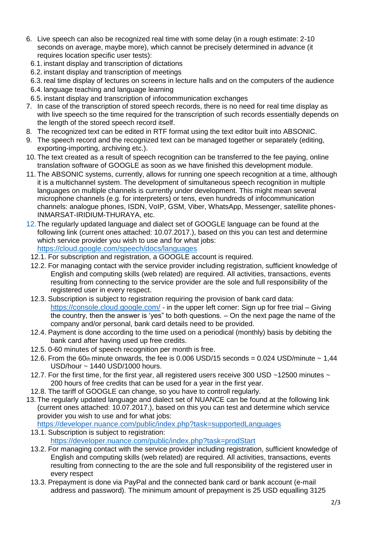- 6. Live speech can also be recognized real time with some delay (in a rough estimate: 2-10 seconds on average, maybe more), which cannot be precisely determined in advance (it requires location specific user tests):
	- 6.1. instant display and transcription of dictations
	- 6.2. instant display and transcription of meetings

6.3. real time display of lectures on screens in lecture halls and on the computers of the audience

- 6.4. language teaching and language learning
- 6.5. instant display and transcription of infocommunication exchanges
- 7. In case of the transcription of stored speech records, there is no need for real time display as with live speech so the time required for the transcription of such records essentially depends on the length of the stored speech record itself.
- 8. The recognized text can be edited in RTF format using the text editor built into ABSONIC.
- 9. The speech record and the recognized text can be managed together or separately (editing, exporting-importing, archiving etc.).
- 10. The text created as a result of speech recognition can be transferred to the fee paying, online translation software of GOOGLE as soon as we have finished this development module.
- 11. The ABSONIC systems, currently, allows for running one speech recognition at a time, although it is a multichannel system. The development of simultaneous speech recognition in multiple languages on multiple channels is currently under development. This might mean several microphone channels (e.g. for interpreters) or tens, even hundreds of infocommunication channels: analogue phones, ISDN, VoIP, GSM, Viber, WhatsApp, Messenger, satellite phones-INMARSAT-IRIDIUM-THURAYA, etc.
- 12. The regularly updated language and dialect set of GOOGLE language can be found at the following link (current ones attached: 10.07.2017.), based on this you can test and determine which service provider you wish to use and for what jobs: https://cloud.google.com/speech/docs/languages
- 12.1. For subscription and registration, a GOOGLE account is required.
- 12.2. For managing contact with the service provider including registration, sufficient knowledge of English and computing skills (web related) are required. All activities, transactions, events resulting from connecting to the service provider are the sole and full responsibility of the registered user in every respect.
- 12.3. Subscription is subject to registration requiring the provision of bank card data: https://console.cloud.google.com/ - in the upper left corner: Sign up for free trial – Giving the country, then the answer is 'yes" to both questions. – On the next page the name of the company and/or personal, bank card details need to be provided.
- 12.4. Payment is done according to the time used on a periodical (monthly) basis by debiting the bank card after having used up free credits.
- 12.5. 0-60 minutes of speech recognition per month is free.
- 12.6. From the 60th minute onwards, the fee is 0.006 USD/15 seconds =  $0.024$  USD/minute  $\sim 1.44$ USD/hour ~ 1440 USD/1000 hours.
- 12.7. For the first time, for the first year, all registered users receive 300 USD ~12500 minutes ~ 200 hours of free credits that can be used for a year in the first year.
- 12.8. The tariff of GOOGLE can change, so you have to controll regularly.
- 13. The regularly updated language and dialect set of NUANCE can be found at the following link (current ones attached: 10.07.2017.), based on this you can test and determine which service provider you wish to use and for what jobs:

https://developer.nuance.com/public/index.php?task=supportedLanguages

- 13.1. Subscription is subject to registration: https://developer.nuance.com/public/index.php?task=prodStart
- 13.2. For managing contact with the service provider including registration, sufficient knowledge of English and computing skills (web related) are required. All activities, transactions, events resulting from connecting to the are the sole and full responsibility of the registered user in every respect
- 13.3. Prepayment is done via PayPal and the connected bank card or bank account (e-mail address and password). The minimum amount of prepayment is 25 USD equalling 3125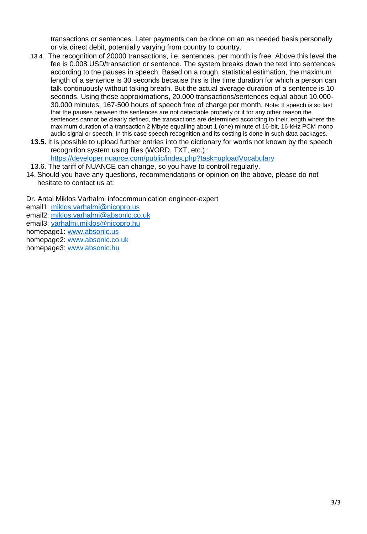transactions or sentences. Later payments can be done on an as needed basis personally or via direct debit, potentially varying from country to country.

- 13.4. The recognition of 20000 transactions, i.e. sentences, per month is free. Above this level the fee is 0.008 USD/transaction or sentence. The system breaks down the text into sentences according to the pauses in speech. Based on a rough, statistical estimation, the maximum length of a sentence is 30 seconds because this is the time duration for which a person can talk continuously without taking breath. But the actual average duration of a sentence is 10 seconds. Using these approximations, 20.000 transactions/sentences equal about 10.000- 30.000 minutes, 167-500 hours of speech free of charge per month. Note: If speech is so fast that the pauses between the sentences are not detectable properly or if for any other reason the sentences cannot be clearly defined, the transactions are determined according to their length where the maximum duration of a transaction 2 Mbyte equalling about 1 (one) minute of 16-bit, 16-kHz PCM mono audio signal or speech. In this case speech recognition and its costing is done in such data packages.
- **13.5.** It is possible to upload further entries into the dictionary for words not known by the speech recognition system using files (WORD, TXT, etc.) : <https://developer.nuance.com/public/index.php?task=uploadVocabulary>

13.6. The tariff of NUANCE can change, so you have to controll regularly.

14. Should you have any questions, recommendations or opinion on the above, please do not hesitate to contact us at:

Dr. Antal Miklos Varhalmi infocommunication engineer-expert email1: [miklos.varhalmi@nicopro.us](mailto:miklos.varhalmi@nicopro.us) email2: [miklos.varhalmi@absonic.co.uk](mailto:miklos.varhalmi@absonic.co.uk) email3: [varhalmi.miklos@nicopro.hu](mailto:varhalmi.miklos@nicopro.hu) homepage1: [www.absonic.us](http://www.absonic.us/) homepage2: [www.absonic.co.uk](http://www.absonic.co.uk/) 

homepage3: [www.absonic.](http://www.absonic.eu/)hu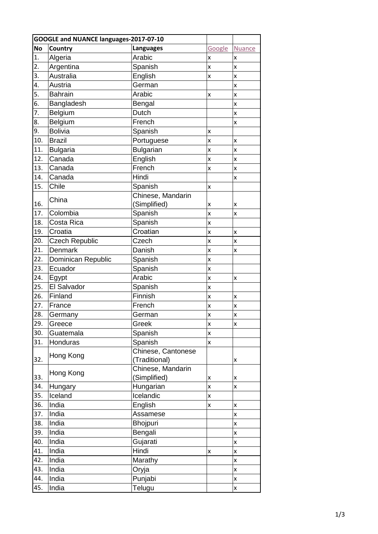| GOOGLE and NUANCE languages-2017-07-10 |                       |                    |                    |               |
|----------------------------------------|-----------------------|--------------------|--------------------|---------------|
| <b>No</b>                              | Country               | <b>Languages</b>   | Google             | <b>Nuance</b> |
| 1.                                     | Algeria               | Arabic             | x                  | x             |
| 2.                                     | Argentina             | Spanish            | X                  | x             |
| 3.                                     | Australia             | English            | $\pmb{\mathsf{X}}$ | X             |
| 4.                                     | Austria               | German             |                    | x             |
| 5.                                     | <b>Bahrain</b>        | Arabic             | X                  | X             |
| 6.                                     | Bangladesh            | Bengal             |                    | X             |
| 7.                                     | Belgium               | Dutch              |                    | x             |
| 8.                                     | Belgium               | French             |                    | x             |
| 9.                                     | <b>Bolivia</b>        | Spanish            | X                  |               |
| 10.                                    | <b>Brazil</b>         | Portuguese         | X                  | X             |
| 11.                                    | <b>Bulgaria</b>       | <b>Bulgarian</b>   | X                  | x             |
| 12.                                    | Canada                | English            | $\pmb{\mathsf{X}}$ | X             |
| 13.                                    | Canada                | French             | X                  | x             |
| 14.                                    | Canada                | Hindi              |                    | X             |
| 15.                                    | Chile                 | Spanish            | X                  |               |
|                                        |                       | Chinese, Mandarin  |                    |               |
| 16.                                    | China                 | (Simplified)       | X                  | x             |
| 17.                                    | Colombia              | Spanish            | X                  | X             |
| 18.                                    | Costa Rica            | Spanish            | $\pmb{\mathsf{X}}$ |               |
| 19.                                    | Croatia               | Croatian           | x                  | x             |
| 20.                                    | <b>Czech Republic</b> | Czech              | x                  | X             |
| 21.                                    | Denmark               | Danish             | $\pmb{\mathsf{X}}$ | X             |
| 22.                                    | Dominican Republic    | Spanish            | X                  |               |
| 23.                                    | Ecuador               | Spanish            | x                  |               |
| 24.                                    | Egypt                 | Arabic             | X                  | X             |
| 25.                                    | El Salvador           | Spanish            | $\pmb{\mathsf{X}}$ |               |
| 26.                                    | Finland               | Finnish            | x                  | x             |
| 27.                                    | France                | French             | X                  | X             |
| 28.                                    | Germany               | German             | X                  | X             |
| 29.                                    | Greece                | Greek              | X                  | X             |
| 30.                                    | Guatemala             | Spanish            | X                  |               |
| 31.                                    | Honduras              | Spanish            | x                  |               |
|                                        | Hong Kong             | Chinese, Cantonese |                    |               |
| 32.                                    |                       | (Traditional)      |                    | X             |
|                                        | Hong Kong             | Chinese, Mandarin  |                    |               |
| 33.                                    |                       | (Simplified)       | X                  | X             |
| 34.                                    | Hungary               | Hungarian          | x                  | X             |
| 35.                                    | Iceland               | Icelandic          | $\pmb{\mathsf{X}}$ |               |
| 36.                                    | India                 | English            | X                  | $\mathsf{x}$  |
| 37.                                    | India                 | Assamese           |                    | X             |
| 38.                                    | India                 | Bhojpuri           |                    | X             |
| 39.                                    | India                 | Bengali            |                    | x             |
| 40.                                    | India                 | Gujarati           |                    | X             |
| 41.                                    | India                 | Hindi              | X                  | X             |
| 42.                                    | India                 | Marathy            |                    | $\mathsf{x}$  |
| 43.                                    | India                 | Oryja              |                    | X             |
| 44.                                    | India                 | Punjabi            |                    | X             |
| 45.                                    | India                 | Telugu             |                    | x             |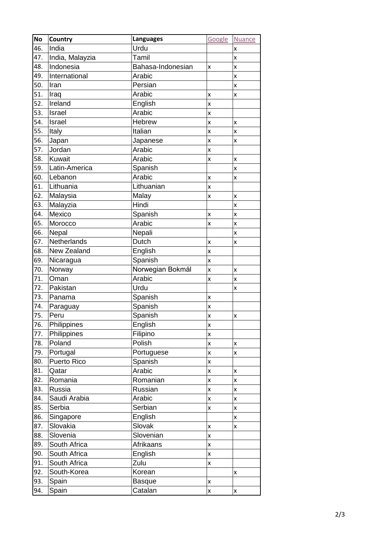| <b>No</b> | <b>Country</b>  | <b>Languages</b>  | Google             | <b>Nuance</b>      |
|-----------|-----------------|-------------------|--------------------|--------------------|
| 46.       | India           | Urdu              |                    | x                  |
| 47.       | India, Malayzia | Tamil             |                    | X                  |
| 48.       | Indonesia       | Bahasa-Indonesian | $\pmb{\mathsf{X}}$ | x                  |
| 49.       | International   | Arabic            |                    | X                  |
| 50.       | Iran            | Persian           |                    | x                  |
| 51.       | Iraq            | Arabic            | X                  | X                  |
| 52.       | Ireland         | English           | X                  |                    |
| 53.       | Israel          | Arabic            | X                  |                    |
| 54.       | Israel          | <b>Hebrew</b>     | X                  | X                  |
| 55.       | <b>Italy</b>    | Italian           | X                  | x                  |
| 56.       | Japan           | Japanese          | $\mathsf{x}$       | X                  |
| 57.       | Jordan          | Arabic            | X                  |                    |
| 58.       | Kuwait          | Arabic            | X                  | X                  |
| 59.       | Latin-America   | Spanish           |                    | X                  |
| 60.       | Lebanon         | Arabic            | $\mathsf{x}$       | x                  |
| 61.       | Lithuania       | Lithuanian        | X                  |                    |
| 62.       | Malaysia        | Malay             | X                  | X                  |
| 63.       | Malayzia        | Hindi             |                    | X                  |
| 64.       | Mexico          | Spanish           | X                  | X                  |
| 65.       | Morocco         | Arabic            | X                  | X                  |
| 66.       | Nepal           | Nepali            |                    | x                  |
| 67.       | Netherlands     | Dutch             | $\mathsf{x}$       | x                  |
| 68.       | New Zealand     | English           | X                  |                    |
| 69.       | Nicaragua       | Spanish           | X                  |                    |
| 70.       | Norway          | Norwegian Bokmål  | X                  | x                  |
| 71.       | Oman            | Arabic            | X                  | X                  |
| 72.       | Pakistan        | Urdu              |                    | X                  |
| 73.       | Panama          | Spanish           | X                  |                    |
| 74.       | Paraguay        | Spanish           | X                  |                    |
| 75.       | Peru            | Spanish           | $\mathsf{x}$       | X                  |
| 76.       | Philippines     | English           | X                  |                    |
| 77.       | Philippines     | Filipino          | X                  |                    |
| 78.       | Poland          | Polish            | $\pmb{\mathsf{x}}$ | $\pmb{\mathsf{x}}$ |
| 79.       | Portugal        | Portuguese        | $\pmb{\mathsf{X}}$ | X                  |
| 80.       | Puerto Rico     | Spanish           | $\pmb{\mathsf{X}}$ |                    |
| 81.       | Qatar           | Arabic            | $\pmb{\mathsf{x}}$ | X                  |
| 82.       | Romania         | Romanian          | X                  | X                  |
| 83.       | Russia          | Russian           | $\pmb{\mathsf{X}}$ | x                  |
| 84.       | Saudi Arabia    | Arabic            | $\pmb{\mathsf{x}}$ | $\pmb{\mathsf{x}}$ |
| 85.       | Serbia          | Serbian           | $\pmb{\mathsf{X}}$ | x                  |
| 86.       | Singapore       | English           |                    | x                  |
| 87.       | Slovakia        | Slovak            | X                  | X                  |
| 88.       | Slovenia        | Slovenian         | $\pmb{\mathsf{X}}$ |                    |
| 89.       | South Africa    | Afrikaans         | X                  |                    |
| 90.       | South Africa    | English           | $\pmb{\mathsf{X}}$ |                    |
| 91.       | South Africa    | Zulu              | X                  |                    |
| 92.       | South-Korea     | Korean            |                    | x                  |
| 93.       | Spain           | <b>Basque</b>     | $\pmb{\mathsf{X}}$ |                    |
| 94.       | Spain           | Catalan           | X                  | X                  |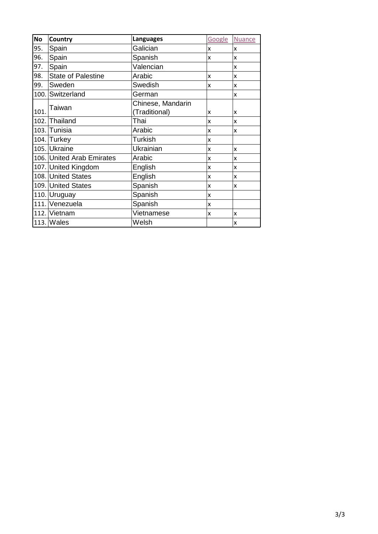| <b>No</b> | Country                   | <b>Languages</b>  | Google                    | <b>Nuance</b> |
|-----------|---------------------------|-------------------|---------------------------|---------------|
| 95.       | Spain                     | Galician          | X                         | X             |
| 96.       | Spain                     | Spanish           | x                         | X             |
| 97.       | Spain                     | Valencian         |                           | x             |
| 98.       | <b>State of Palestine</b> | Arabic            | X                         | x             |
| 99.       | Sweden                    | Swedish           | X                         | X             |
|           | 100. Switzerland          | German            |                           | $\mathsf{x}$  |
|           | Taiwan                    | Chinese, Mandarin |                           |               |
| 101.      |                           | (Traditional)     | x                         | x             |
|           | 102. Thailand             | Thai              | X                         | x             |
|           | 103. Tunisia              | Arabic            | X                         | x             |
|           | 104. Turkey               | <b>Turkish</b>    | X                         |               |
|           | 105. Ukraine              | Ukrainian         | X                         | X             |
|           | 106. United Arab Emirates | Arabic            | X                         | X             |
|           | 107. United Kingdom       | English           | $\boldsymbol{\mathsf{x}}$ | X             |
|           | 108. United States        | English           | x                         | X             |
|           | 109. United States        | Spanish           | X                         | x             |
|           | 110. Uruguay              | Spanish           | X                         |               |
|           | 111. Venezuela            | Spanish           | X                         |               |
|           | 112. Vietnam              | Vietnamese        | X                         | x             |
|           | $113.$ Wales              | Welsh             |                           | x             |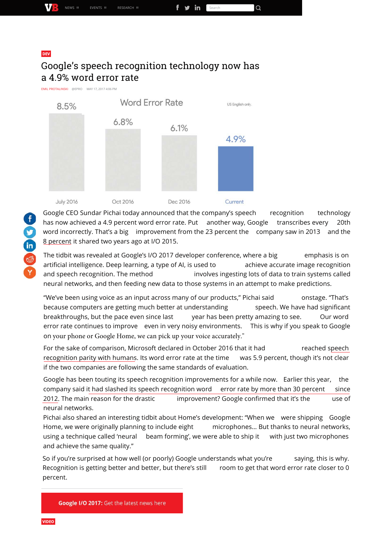| WA<br>٠ | NEWS.<br>Ш | EVENTS II | RESEARCH II | ın<br>▼<br><b>SECT CL</b> |
|---------|------------|-----------|-------------|---------------------------|

#### DEV

## Google's speech recognition technology now has a 4.9% word error rate

**EMIL PROTALINSKI** @EPRO MAY 17 2017 4:06 PM



Google CEO Sundar Pichai today announced that the company's speech recognition technology has now achieved a 4.9 percent word error rate. Put another way, Google transcribes every 20th word incorrectly. That's a big improvement from the 23 percent the company saw in 2013 and the 8 percent it shared two years ago at I/O 2015.

The tidbit was revealed at Google's I/O 2017 developer conference, where a big emphasis is on artificial intelligence. Deep learning, a type of AI, is used to a chieve accurate image recognition and speech recognition. The method involves ingesting lots of data to train systems called neural networks, and then feeding new data to those systems in an attempt to make predictions.

"We've been using voice as an input across many of our products," Pichai said onstage. "That's because computers are getting much better at understanding speech. We have had significant breakthroughs, but the pace even since last year has been pretty amazing to see. Our word error rate continues to improve even in very noisy environments. This is why if you speak to Google on your phone or Google Home, we can pick up your voice accurately."

For the sake of comparison, Microsoft declared in October 2016 that it had reached speech recognition parity with humans. Its word error rate at the time was 5.9 percent, though it's not clear if the two companies are following the same standards of evaluation.

Google has been touting its speech recognition improvements for a while now. Earlier this year, the company said it had slashed its speech recognition word error rate by more than 30 percent since 2012. The main reason for the drastic improvement? Google confirmed that it's the use of neural networks.

Pichai also shared an interesting tidbit about Home's development: "When we were shipping Google Home, we were originally planning to include eight microphones... But thanks to neural networks, using a technique called 'neural beam forming', we were able to ship it with just two microphones and achieve the same quality."

So if you're surprised at how well (or poorly) Google understands what you're saying, this is why. Recognition is getting better and better, but there's still room to get that word error rate closer to 0 percent.

Google I/O 2017: Get the latest news here

to a se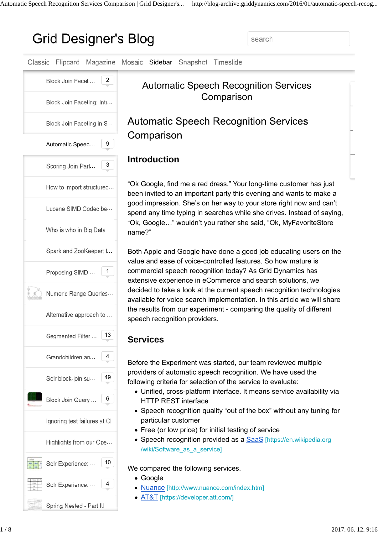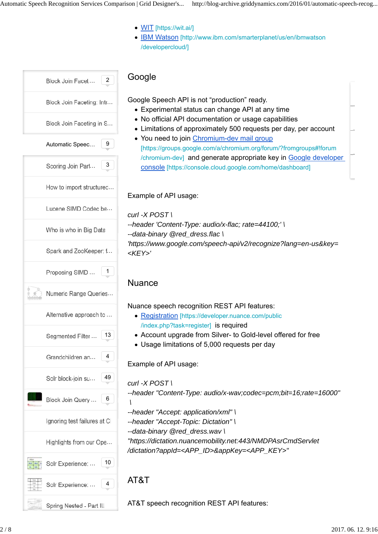- WIT [https://wit.ai/]
- **IBM Watson** [http://www.ibm.com/smarterplanet/us/en/ibmwatson /developercloud/]

| 2<br>Block Join Faceti       |
|------------------------------|
| Block Join Faceting: Intr    |
| Block Join Faceting in S     |
| 9<br>Automatic Speec         |
| 3<br>Scoring Join Part       |
| How to import structured     |
| Lucene SIMD Codec be         |
| Who is who in Big Data       |
| Spark and ZooKeeper: f       |
| 1<br>Proposing SIMD          |
| Ġ<br>Numeric Range Queries   |
| Alternative approach to      |
| 13<br>Segmented Filter       |
| 4<br>Grandchildren an        |
| 49<br>Solr block-join su     |
| 6<br>Block Join Query        |
| Ignoring test failures at Cl |
| Highlights from our Ope      |
| 10<br>Solr Experience:       |
| 4<br>Solr Experience:        |
| Spring Nested - Part III     |

### **Google**

Google Speech API is not "production" ready.

- Experimental status can change API at any time
- No official API documentation or usage capabilities
- Limitations of approximately 500 requests per day, per account
- You need to join Chromium-dev mail group [https://groups.google.com/a/chromium.org/forum/?fromgroups#!forum /chromium-dev] and generate appropriate key in Google developer console [https://console.cloud.google.com/home/dashboard]

#### Example of API usage:

*curl -X POST \ --header 'Content-Type: audio/x-flac; rate=44100;' \ --data-binary @red\_dress.flac \ 'https://www.google.com/speech-api/v2/recognize?lang=en-us&key= <KEY>'*

## **Nuance**

Nuance speech recognition REST API features:

- Registration [https://developer.nuance.com/public /index.php?task=register] is required
- Account upgrade from Silver- to Gold-level offered for free
- Usage limitations of 5,000 requests per day

Example of API usage:

## *curl -X POST \*

*--header "Content-Type: audio/x-wav;codec=pcm;bit=16;rate=16000" \*

*--header "Accept: application/xml" \*

*--header "Accept-Topic: Dictation" \*

*--data-binary @red\_dress.wav \*

*"https://dictation.nuancemobility.net:443/NMDPAsrCmdServlet /dictation?appId=<APP\_ID>&appKey=<APP\_KEY>"*

# AT&T

AT&T speech recognition REST API features: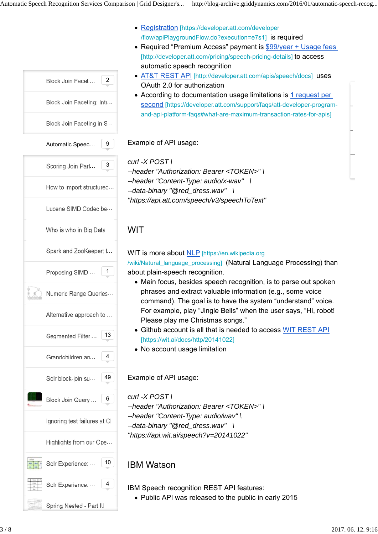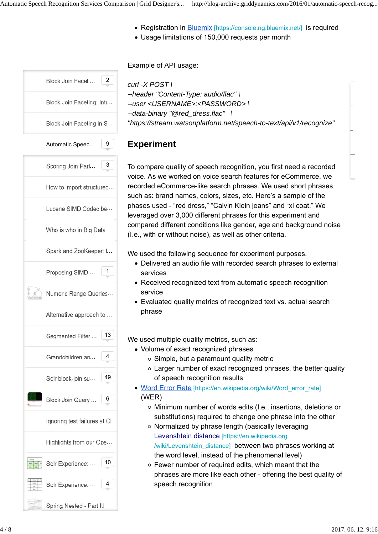- Registration in **Bluemix** [https://console.ng.bluemix.net/] is required
- Usage limitations of 150,000 requests per month

# Block Join Faceti... 2 Block Join Faceting: Intr... Block Join Faceting in S... Automatic Speec... | 9 Scoring Join Part. 3 How to import structured... Lucene SIMD Codec be... Who is who in Big Data Spark and ZooKeeper: f... Proposing SIMD ... | 1 Numeric Range Queries... Alternative approach to ... Segmented Filter ... 13 Grandchildren an... 4 Solr block-join su... 49 Block Join Query ... | 6 Ignoring test failures at CI Highlights from our Ope... Solr Experience: ... | 10 … 4 Solr Experience: Spring Nested - Part III

#### Example of API usage:

```
curl -X POST \
--header "Content-Type: audio/flac" \
--user <USERNAME>:<PASSWORD> \
--data-binary "@red_dress.flac" \
"https://stream.watsonplatform.net/speech-to-text/api/v1/recognize"
```
#### **Experiment**

To compare quality of speech recognition, you first need a recorded voice. As we worked on voice search features for eCommerce, we recorded eCommerce-like search phrases. We used short phrases such as: brand names, colors, sizes, etc. Here's a sample of the phases used - "red dress," "Calvin Klein jeans" and "xl coat." We leveraged over 3,000 different phrases for this experiment and compared different conditions like gender, age and background noise (I.e., with or without noise), as well as other criteria.

We used the following sequence for experiment purposes.

- Delivered an audio file with recorded search phrases to external services
- Received recognized text from automatic speech recognition service
- Evaluated quality metrics of recognized text vs. actual search phrase

We used multiple quality metrics, such as:

- Volume of exact recognized phrases
	- $\circ$  Simple, but a paramount quality metric
	- Larger number of exact recognized phrases, the better quality of speech recognition results
- Word Error Rate [https://en.wikipedia.org/wiki/Word\_error\_rate] (WER)
	- Minimum number of words edits (I.e., insertions, deletions or substitutions) required to change one phrase into the other
	- o Normalized by phrase length (basically leveraging Levenshtein distance [https://en.wikipedia.org /wiki/Levenshtein\_distance] between two phrases working at the word level, instead of the phenomenal level)
	- $\circ$  Fewer number of required edits, which meant that the phrases are more like each other - offering the best quality of speech recognition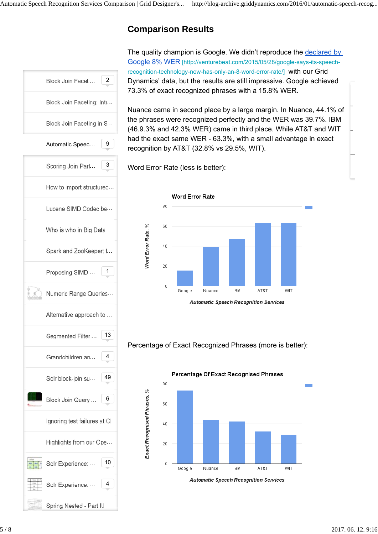# **Comparison Results**



The quality champion is Google. We didn't reproduce the declared by Google 8% WER [http://venturebeat.com/2015/05/28/google-says-its-speechrecognition-technology-now-has-only-an-8-word-error-rate/] with our Grid Dynamics' data, but the results are still impressive. Google achieved 73.3% of exact recognized phrases with a 15.8% WER.

Nuance came in second place by a large margin. In Nuance, 44.1% of the phrases were recognized perfectly and the WER was 39.7%. IBM (46.9.3% and 42.3% WER) came in third place. While AT&T and WIT had the exact same WER - 63.3%, with a small advantage in exact recognition by AT&T (32.8% vs 29.5%, WIT).

Word Error Rate (less is better):



Percentage of Exact Recognized Phrases (more is better):



5 / 8 2017. 06. 12. 9:16